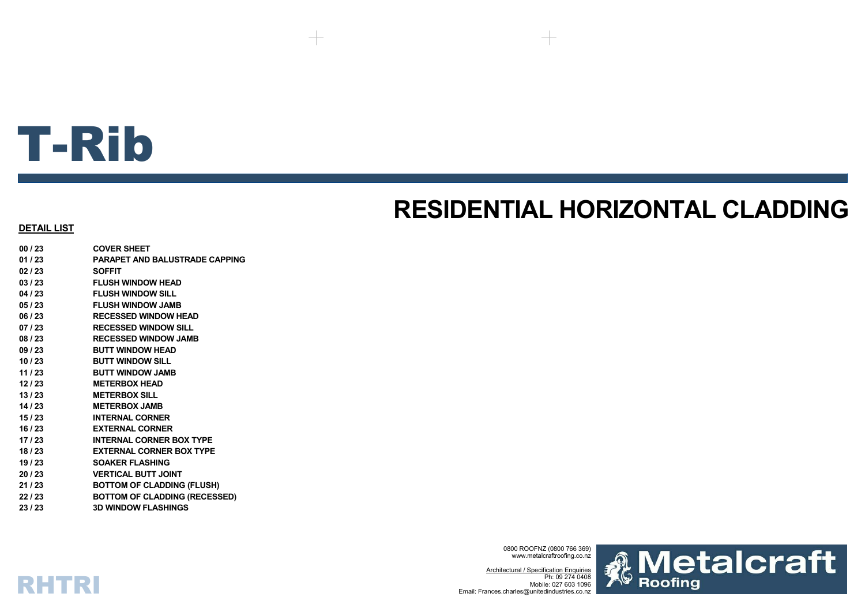# T-Rib

# **RESIDENTIAL HORIZONTAL CLADDING**

#### **DETAIL LIST**

RHTRI

**00 / 23 COVER SHEET01 / 23 PARAPET AND BALUSTRADE CAPPING02 / 23 SOFFIT03 / 23 FLUSH WINDOW HEAD04 / 23 FLUSH WINDOW SILL05 / 23 FLUSH WINDOW JAMB06 / 23 RECESSED WINDOW HEAD07 / 23 RECESSED WINDOW SILL08 / 23 RECESSED WINDOW JAMB09 / 23 BUTT WINDOW HEAD10 / 23 BUTT WINDOW SILL11 / 23 BUTT WINDOW JAMB12 / 23 METERBOX HEAD13 / 23 METERBOX SILL14 / 23 METERBOX JAMB 15 / 23 INTERNAL CORNER16 / 23 EXTERNAL CORNER17 / 23 INTERNAL CORNER BOX TYPE18 / 23 EXTERNAL CORNER BOX TYPE19 / 23 SOAKER FLASHING20 / 23 VERTICAL BUTT JOINT21 / 23 BOTTOM OF CLADDING (FLUSH) 22 / 23 BOTTOM OF CLADDING (RECESSED) 23 / 23 3D WINDOW FLASHINGS**

> 0800 ROOFNZ (0800 766 369) www.metalcraftroofing.co.nz

Architectural / Specification Enquiries Ph: 09 274 0408 Mobile: 027 603 1096Email: Frances.charles@unitedindustries.co.nz

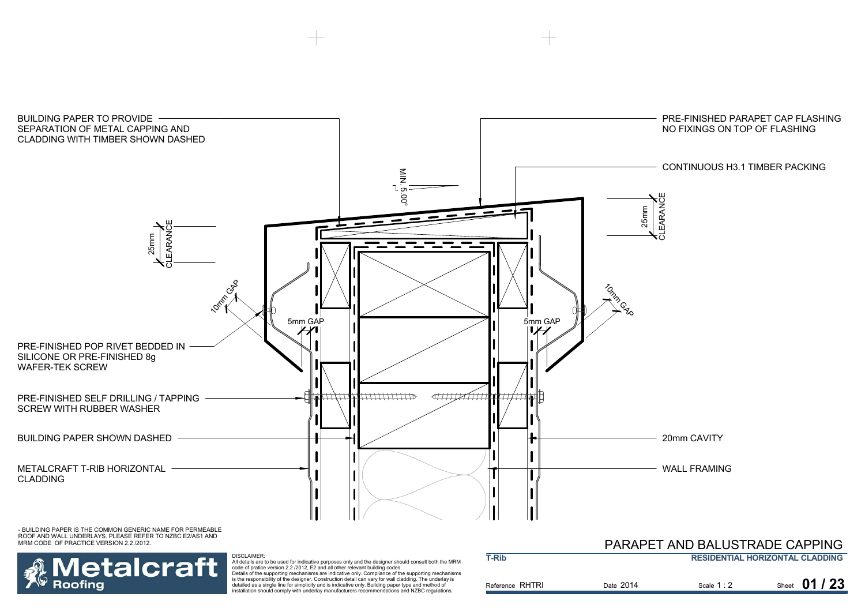

**T-Rib**

- BUILDING PAPER IS THE COMMON GENERIC NAME FOR PERMEABLE ROOF AND WALL UNDERLAYS. PLEASE REFER TO NZBC E2/AS1 AND MRM CODE OF PRACTICE VERSION 2.2 /2012.



DISCLAIMER:<br>All details are to be used for indicative purposes only and the designer should consult both the MRM<br>code of pratice version 2.2 /2012, E2 and all other relevant building codes<br>Details of the supporting mechani is the responsibility of the designer. Construction detail can vary for wall cladding. The underlay is

detailed as a single line for simplicity and is indicative only. Building paper type and method of installation should comply with underlay manufacturers recommendations and NZBC regulations.

| PARAPET AND BALUSTRADE CAPPING         |
|----------------------------------------|
| <b>RESIDENTIAL HORIZONTAL CLADDING</b> |

| Reference RHTRI | Date 2014 | Scale 1:2 | Sheet 01 / 23 |
|-----------------|-----------|-----------|---------------|
|                 |           |           |               |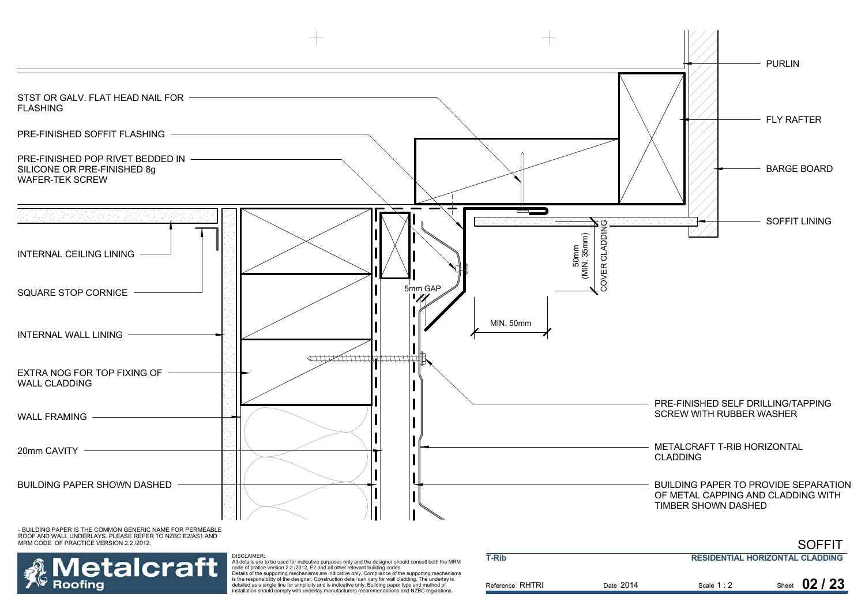

ROOF AND WALL UNDERLAYS. PLEASE REFER TO NZBC E2/AS1 AND MRM CODE OF PRACTICE VERSION 2.2 /2012.



DISCLAIMER:

Reference RHTRI Date Scale Sheet 2014All details are to be used for indicative purposes only and the designer should consult both the MRM<br>code of pratice version 2.2 /2012, E2 and all other relevant building codes<br>Details of the supporting mechanisms are indi detailed as a single line for simplicity and is indicative only. Building paper type and method of **T-RibRESIDENTIAL HORIZONTAL CLADDING**

Scale 1:2 **02 / 23**

SOFFIT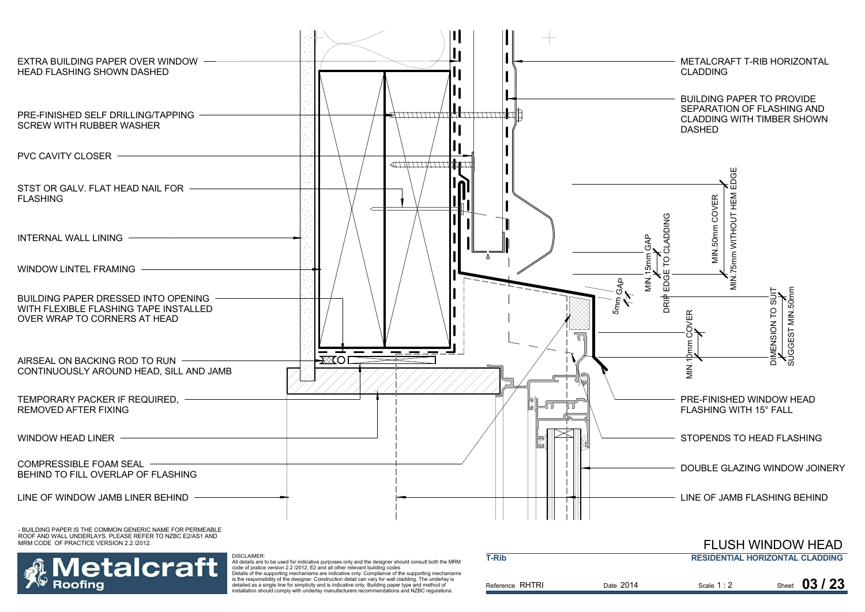

etalcraft Roofina

 All details are to be used for indicative purposes only and the designer should consult both the MRM code of pratice version 2.2 /2012, E2 and all other relevant building codes Details of the supporting mechanisms are indicative only. Compliance of the supporting mechanisms is the responsibility of the designer. Construction detail can vary for wall cladding. The underlay is

DISCLAIMER:

detailed as a single line for simplicity and is indicative only. Building paper type and method of installation should comply with underlay manufacturers recommendations and NZBC regulations.

|                 |           |             | FLUSH WINDOW HEAD                      |
|-----------------|-----------|-------------|----------------------------------------|
| T-Rib           |           |             | <b>RESIDENTIAL HORIZONTAL CLADDING</b> |
| Reference RHTRI | Date 2014 | Scale $1:2$ | Sheet $03/23$                          |
|                 |           |             |                                        |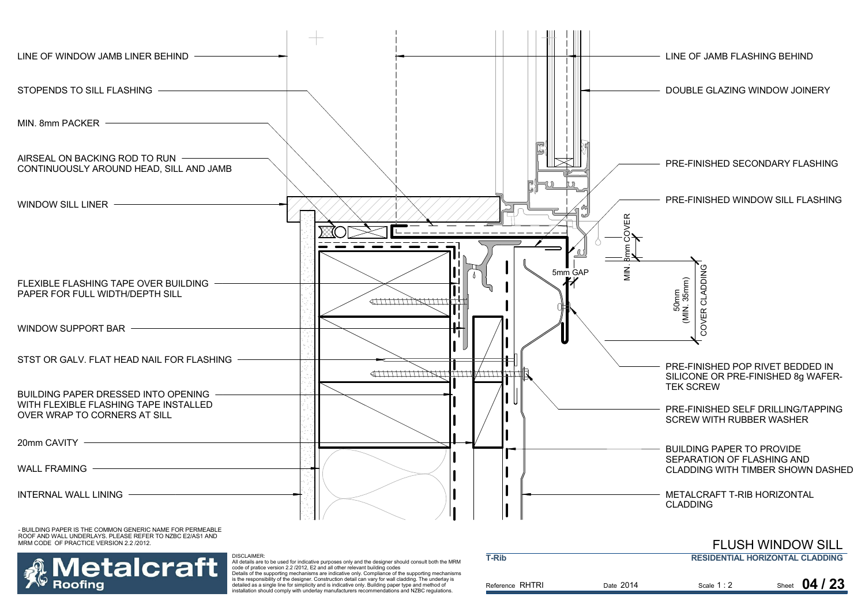

etalcraft Roofina

.<br>All details are to be used for indicative purposes only and the designer should consult both the MRM<br>code of pratice version 2.2./2012, E2 and all other relevant building codes<br>Details of the supporting mechanisms are in

is the responsibility of the designer. Construction detail can vary for wall cladding. The underlay is detailed as a single line for simplicity and is indicative only. Building paper type and method of installation should comply with underlay manufacturers recommendations and NZBC regulations.

DISCLAIMER:

| T-Rib           |           |             | <b>RESIDENTIAL HORIZONTAL CLADDING</b> |
|-----------------|-----------|-------------|----------------------------------------|
| Reference RHTRI | Date 2014 | Scale $1:2$ | Sheet $04/23$                          |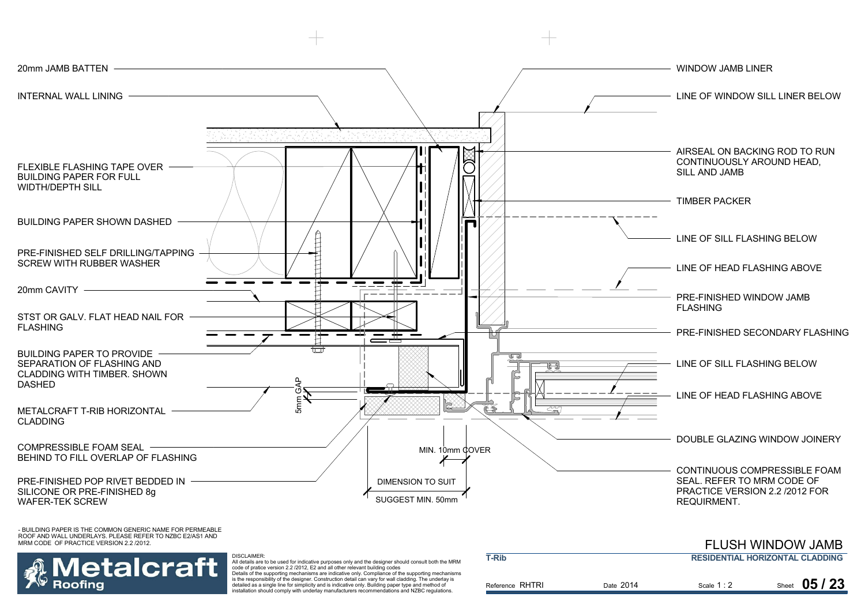



 All details are to be used for indicative purposes only and the designer should consult both the MRM code of pratice version 2.2 /2012, E2 and all other relevant building codes Details of the supporting mechanisms are indicative only. Compliance of the supporting mechanisms is the responsibility of the designer. Construction detail can vary for wall cladding. The underlay is

detailed as a single line for simplicity and is indicative only. Building paper type and method of installation should comply with underlay manufacturers recommendations and NZBC regulations.

|                 |           |             | <u>I LUUIT IVIINDUVI JAIVID</u>        |
|-----------------|-----------|-------------|----------------------------------------|
| <b>T-Rib</b>    |           |             | <b>RESIDENTIAL HORIZONTAL CLADDING</b> |
| Reference RHTRI | Date 2014 | Scale $1:2$ | 05/23<br>Sheet                         |

FLUSH WINDOW JAMB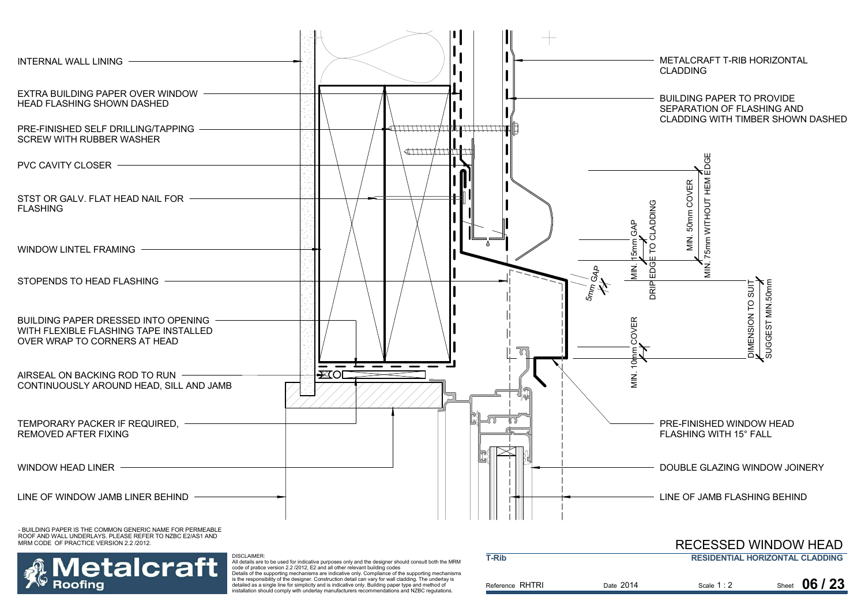

MRM CODE OF PRACTICE VERSION 2.2 /2012.



 All details are to be used for indicative purposes only and the designer should consult both the MRM code of pratice version 2.2 /2012, E2 and all other relevant building codes Details of the supporting mechanisms are indicative only. Compliance of the supporting mechanisms

is the responsibility of the designer. Construction detail can vary for wall cladding. The underlay is detailed as a single line for simplicity and is indicative only. Building paper type and method of installation should comply with underlay manufacturers recommendations and NZBC regulations.

| <b>T-Rib</b>    |           |             | INLULUULLI WINDUW HLAD<br><b>RESIDENTIAL HORIZONTAL CLADDING</b> |
|-----------------|-----------|-------------|------------------------------------------------------------------|
| Reference RHTRI | Date 2014 | Scale $1:2$ | 06/23<br>Sheet                                                   |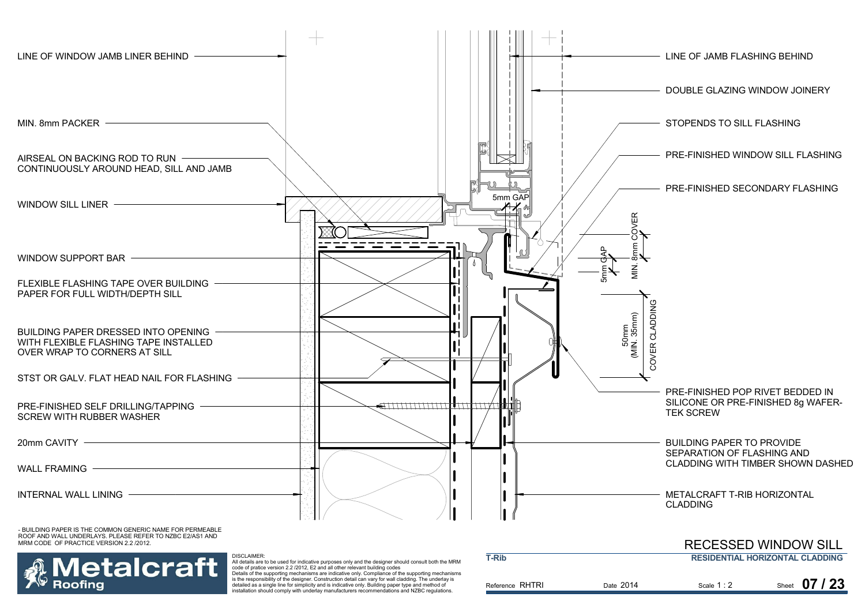

etalcraft All details are to be used for indicative purposes only and the designer should consult both the MRM code of pratice version 2.2 /2012, E2 and all other relevant building codes Details of the supporting mechanisms are indicative only. Compliance of the supporting mechanisms is the responsibility of the designer. Construction detail can vary for wall cladding. The underlay is detailed as a single line for simplicity and is indicative only. Building paper type and method of installation should comply with underlay manufacturers recommendations and NZBC regulations.

Roofina

| T-Rib           |           |             | <b>RESIDENTIAL HORIZONTAL CLADDING</b> |
|-----------------|-----------|-------------|----------------------------------------|
| Reference RHTRI | Date 2014 | Scale $1:2$ | Sheet 07 / 23                          |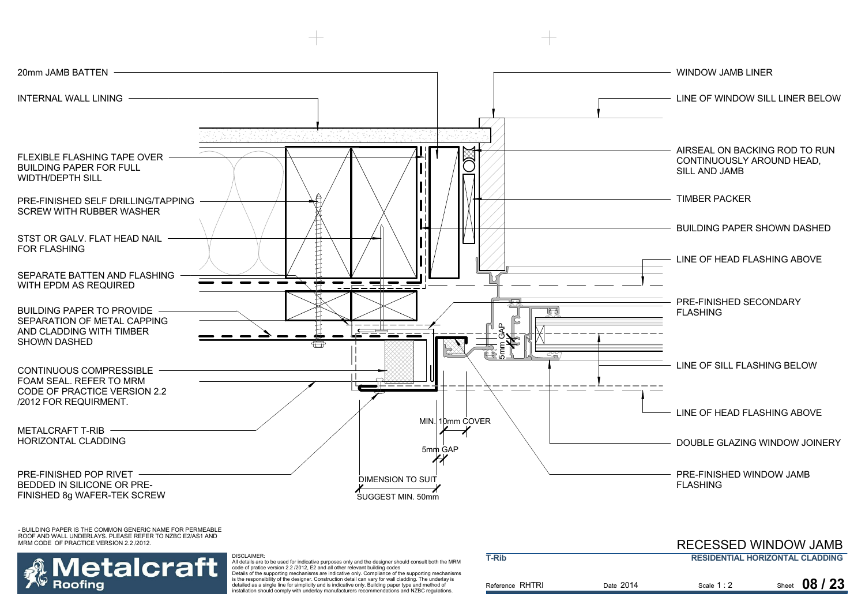



 All details are to be used for indicative purposes only and the designer should consult both the MRM code of pratice version 2.2 /2012, E2 and all other relevant building codes Details of the supporting mechanisms are indicative only. Compliance of the supporting mechanisms is the responsibility of the designer. Construction detail can vary for wall cladding. The underlay is detailed as a single line for simplicity and is indicative only. Building paper type and method of

| <b>T-Rib</b>    | INLULUULLI YYIIYIUUYY JAIYID<br><b>RESIDENTIAL HORIZONTAL CLADDING</b> |             |               |
|-----------------|------------------------------------------------------------------------|-------------|---------------|
| Reference RHTRI | Date 2014                                                              | Scale $1:2$ | Sheet 08 / 23 |

RECESSED WINDOW JAMB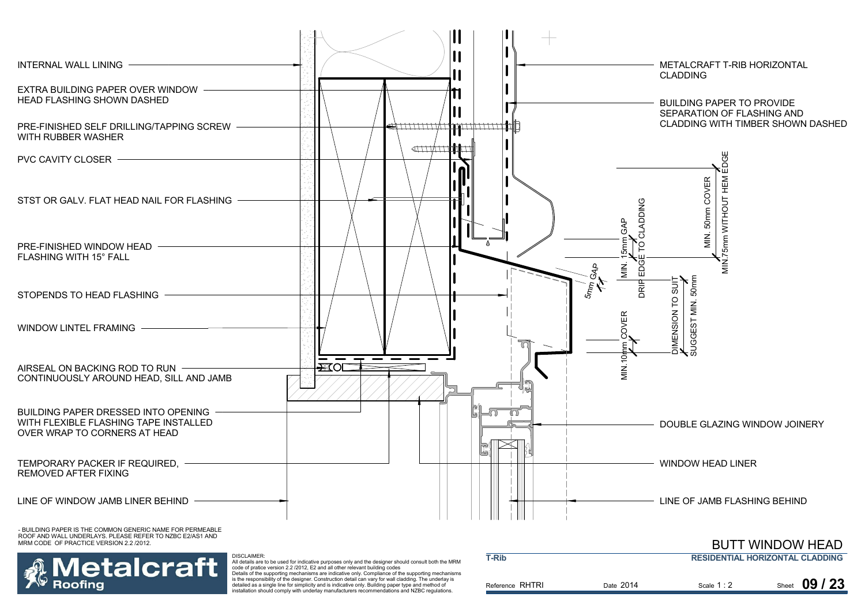

Details of the supporting mechanisms are indicative only. Compliance of the supporting mechanisms is the responsibility of the designer. Construction detail can vary for wall cladding. The underlay is detailed as a single line for simplicity and is indicative only. Building paper type and method of installation should comply with underlay manufacturers recommendations and NZBC regulations.

Roofina

| Reference RHTRI |  | Date 2014 | Scale $1:2$ | Sheet 09 / 23 |
|-----------------|--|-----------|-------------|---------------|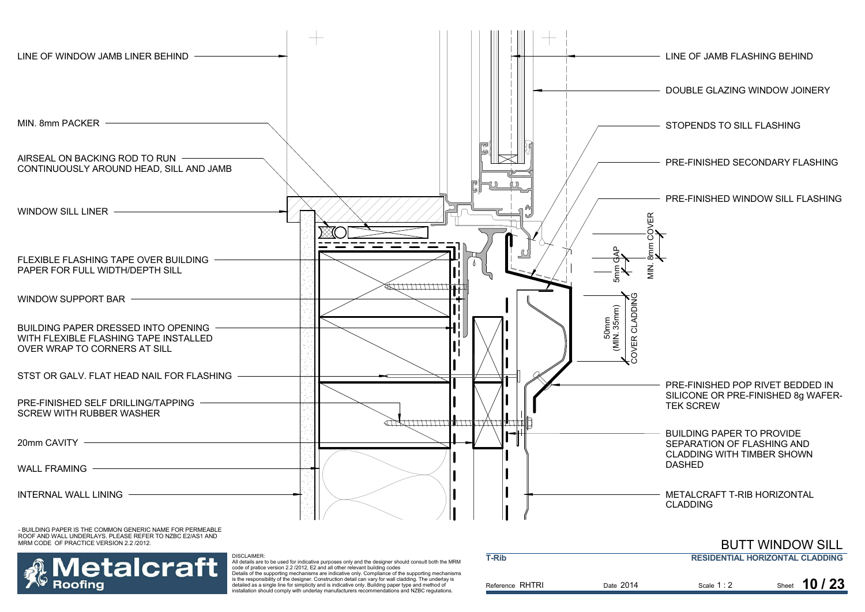



 All details are to be used for indicative purposes only and the designer should consult both the MRM code of pratice version 2.2 /2012, E2 and all other relevant building codes Details of the supporting mechanisms are indicative only. Compliance of the supporting mechanisms

is the responsibility of the designer. Construction detail can vary for wall cladding. The underlay is detailed as a single line for simplicity and is indicative only. Building paper type and method of installation should comply with underlay manufacturers recommendations and NZBC regulations.

| Date 2014<br>Scale $1:2$<br>Reference RHTRI | <b>T-Rib</b> | <b>RESIDENTIAL HORIZONTAL CLADDING</b> |                      |  |
|---------------------------------------------|--------------|----------------------------------------|----------------------|--|
|                                             |              |                                        | Sheet <b>10 / 23</b> |  |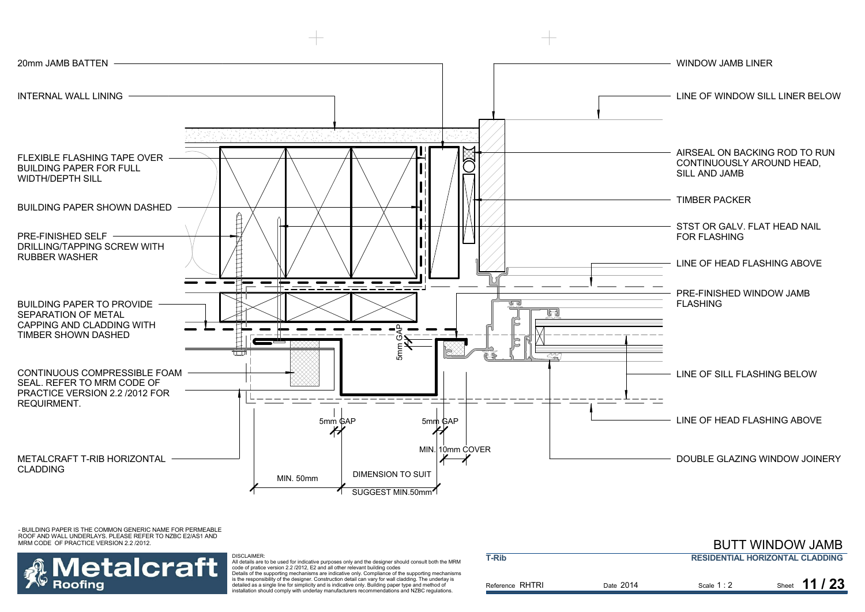



DISCLAIMER:

 All details are to be used for indicative purposes only and the designer should consult both the MRM code of pratice version 2.2 /2012, E2 and all other relevant building codes Details of the supporting mechanisms are indicative only. Compliance of the supporting mechanisms is the responsibility of the designer. Construction detail can vary for wall cladding. The underlay is detailed as a single line for simplicity and is indicative only. Building paper type and method of installation should comply with underlay manufacturers recommendations and NZBC regulations.

|                 |           |             | _______________                        |
|-----------------|-----------|-------------|----------------------------------------|
| <b>T-Rib</b>    |           |             | <b>RESIDENTIAL HORIZONTAL CLADDING</b> |
| Reference RHTRI | Date 2014 | Scale $1:2$ | Sheet 11 / 23                          |

BUTT WINDOW JAMB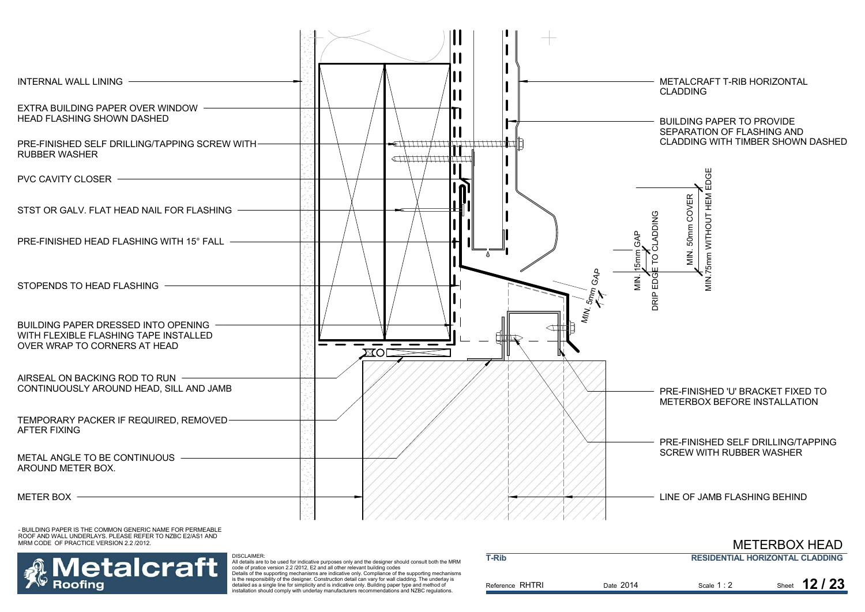



Reference RHTRI Date Scale Sheet 2014.<br>All details are to be used for indicative purposes only and the designer should consult both the MRM<br>code of pratice version 2.2./2012, E2 and all other relevant building codes<br>Details of the supporting mechanisms are in is the responsibility of the designer. Construction detail can vary for wall cladding. The underlay is detailed as a single line for simplicity and is indicative only. Building paper type and method of installation should comply with underlay manufacturers recommendations and NZBC regulations. **T-Rib RESIDENTIAL HORIZONTAL CLADDING** Scale 1:2 2 Sheet **12/23** 

METERBOX HEAD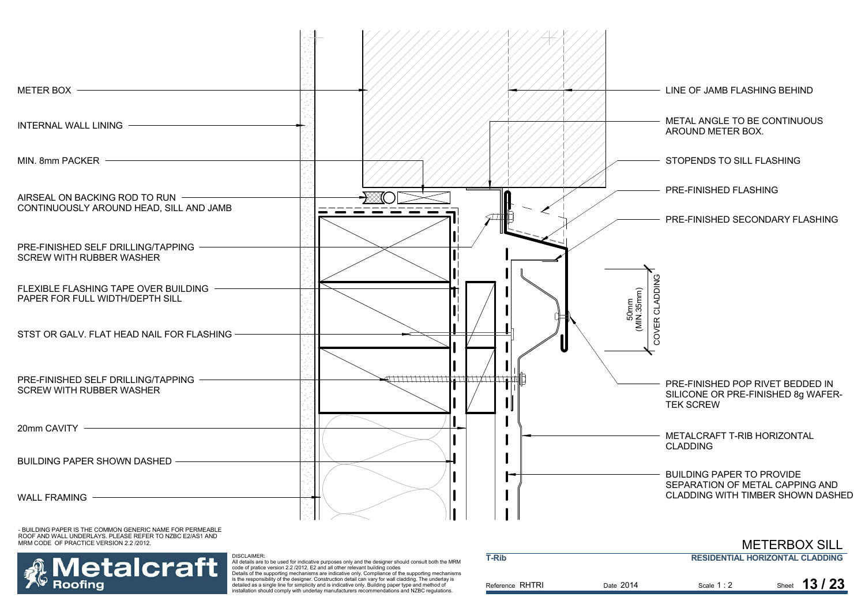

MRM CODE OF PRACTICE VERSION 2.2 /2012.



.<br>All details are to be used for indicative purposes only and the designer should consult both the MRM<br>code of pratice version 2.2./2012, E2 and all other relevant building codes<br>Details of the supporting mechanisms are in

is the responsibility of the designer. Construction detail can vary for wall cladding. The underlay is detailed as a single line for simplicity and is indicative only. Building paper type and method of installation should comply with underlay manufacturers recommendations and NZBC regulations.

|           |             | METERBUA SILL                          |
|-----------|-------------|----------------------------------------|
|           |             | <b>RESIDENTIAL HORIZONTAL CLADDING</b> |
| Date 2014 | Scale $1:2$ | Sheet $13/23$                          |
|           |             |                                        |

METERBOY OILL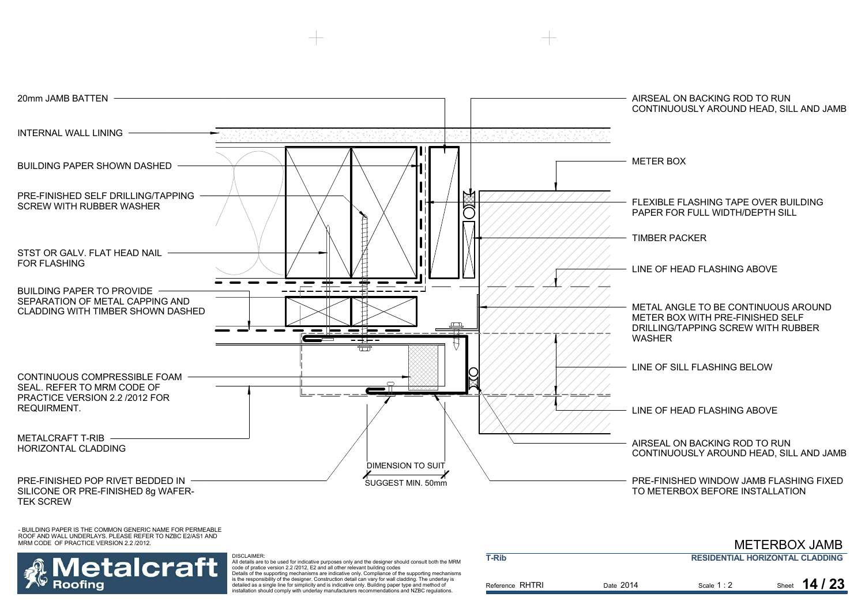

# letalcraft Roofina

 All details are to be used for indicative purposes only and the designer should consult both the MRM code of pratice version 2.2 /2012, E2 and all other relevant building codes Details of the supporting mechanisms are indicative only. Compliance of the supporting mechanisms is the responsibility of the designer. Construction detail can vary for wall cladding. The underlay is detailed as a single line for simplicity and is indicative only. Building paper type and method of

installation should comply with underlay manufacturers recommendations and NZBC regulations.

DISCLAIMER:

|             | <b>RESIDENTIAL HORIZONTAL CLADDING</b> |
|-------------|----------------------------------------|
|             |                                        |
| Scale $1:2$ | Sheet $14/23$                          |
|             |                                        |

METERBOX JAMB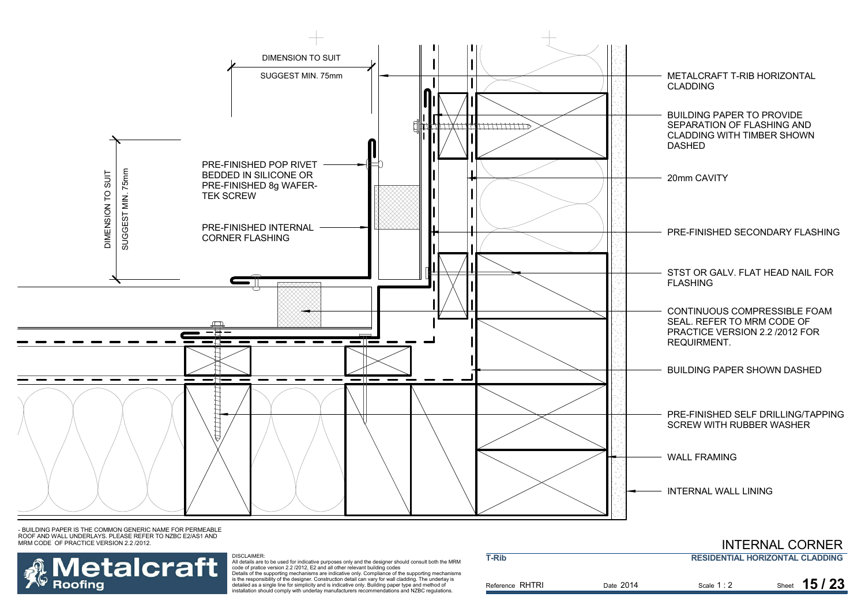



DISCLAIMER:<br>All details are to be used for indicative purposes only and the designer should consult both the MRM<br>code of pratice version 2.2 /2012, E2 and all other relevant building codes<br>Details of the supporting mechani

is the responsibility of the designer. Construction detail can vary for wall cladding. The underlay is detailed as a single line for simplicity and is indicative only. Building paper type and method of installation should comply with underlay manufacturers recommendations and NZBC regulations.

|                 |           |                                        | <b>INTERNAL CORNER</b> |
|-----------------|-----------|----------------------------------------|------------------------|
| <b>T-Rib</b>    |           | <b>RESIDENTIAL HORIZONTAL CLADDING</b> |                        |
| Reference RHTRI | Date 2014 | Scale $1:2$                            | Sheet $15/23$          |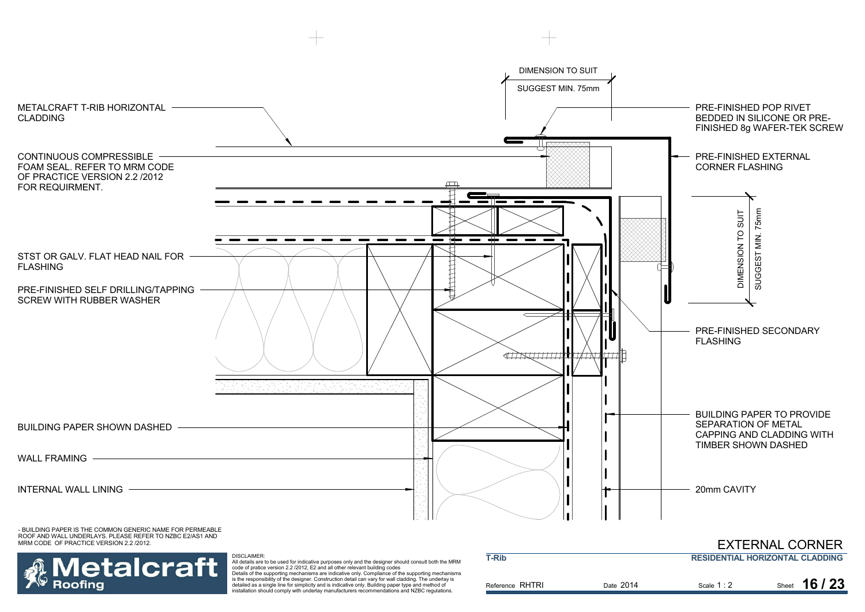

All details are to be used for indicative purposes only and the designer should consult both the MRM<br>code of pratice version 2.2 /2012, E2 and all other relevant building codes<br>Details of the supporting mechanisms are indi detailed as a single line for simplicity and is indicative only. Building paper type and method of installation should comply with underlay manufacturers recommendations and NZBC regulations.

**Roofing** 

| שורי ו          |           | <b>NESIDEN HAL HUNZUN AL GLADDING</b> |               |  |
|-----------------|-----------|---------------------------------------|---------------|--|
| Reference RHTRI | Date 2014 | Scale $1:2$                           | Sheet 16 / 23 |  |
|                 |           |                                       |               |  |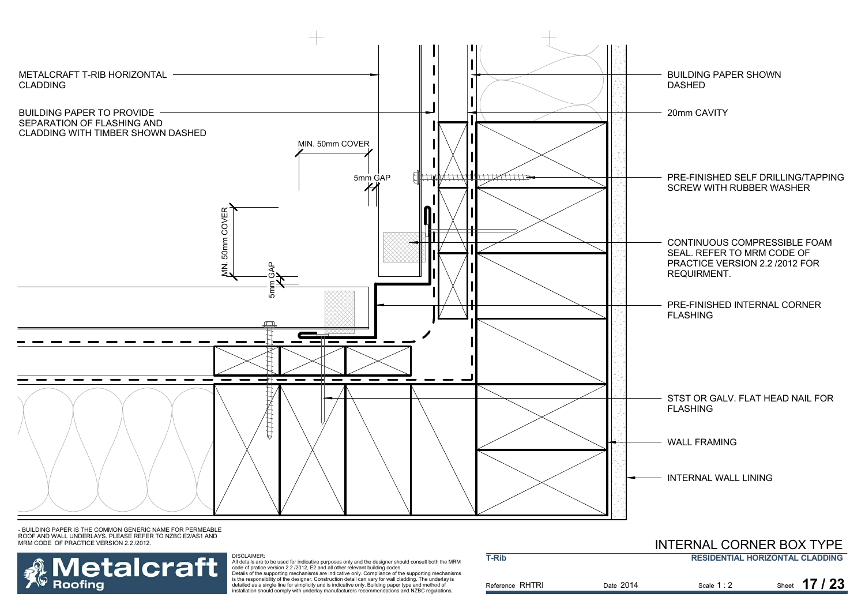



DISCLAIMER:<br>All details are to be used for indicative purposes only and the designer should consult both the MRM<br>code of pratice version 2.2 /2012, E2 and all other relevant building codes<br>Details of the supporting mechani

is the responsibility of the designer. Construction detail can vary for wall cladding. The underlay is detailed as a single line for simplicity and is indicative only. Building paper type and method of installation should comply with underlay manufacturers recommendations and NZBC regulations.

|                 |           | INTERNAL CORNER BOATTEE |                                        |
|-----------------|-----------|-------------------------|----------------------------------------|
| <b>T-Rib</b>    |           |                         | <b>RESIDENTIAL HORIZONTAL CLADDING</b> |
| Reference RHTRI | Date 2014 | Scale $1:2$             | Sheet $17/23$                          |

## INITEDNIAL CODNER BOY TVDE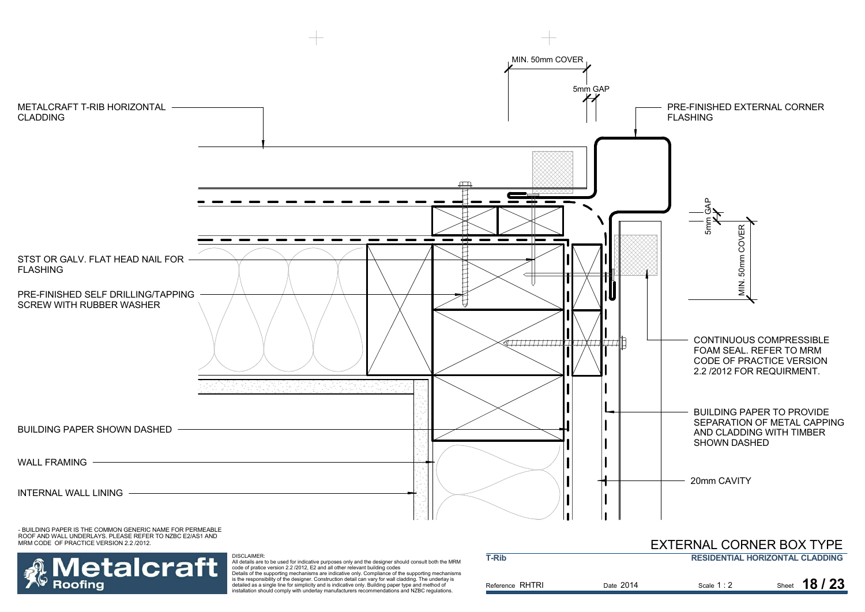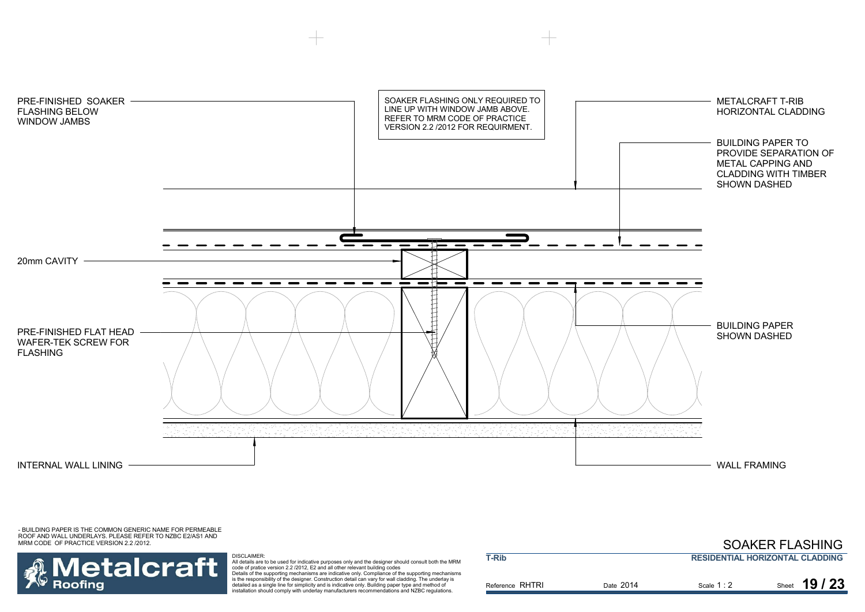

### SOAKER FLASHING

## **Metalcraft Roofing**

DISCLAIMER: All details are to be used for indicative purposes only and the designer should consult both the MRM<br>code of pratice version 2.2 /2012, E2 and all other relevant building codes<br>Details of the supporting mechanisms are indi is the responsibility of the designer. Construction detail can vary for wall cladding. The underlay is detailed as a single line for simplicity and is indicative only. Building paper type and method of

installation should comply with underlay manufacturers recommendations and NZBC regulations.

| T-Rib           | <b>RESIDENTIAL HORIZONTAL CLADDING</b> |             |               |
|-----------------|----------------------------------------|-------------|---------------|
| Reference RHTRI | Date 2014                              | Scale $1:2$ | Sheet 19 / 23 |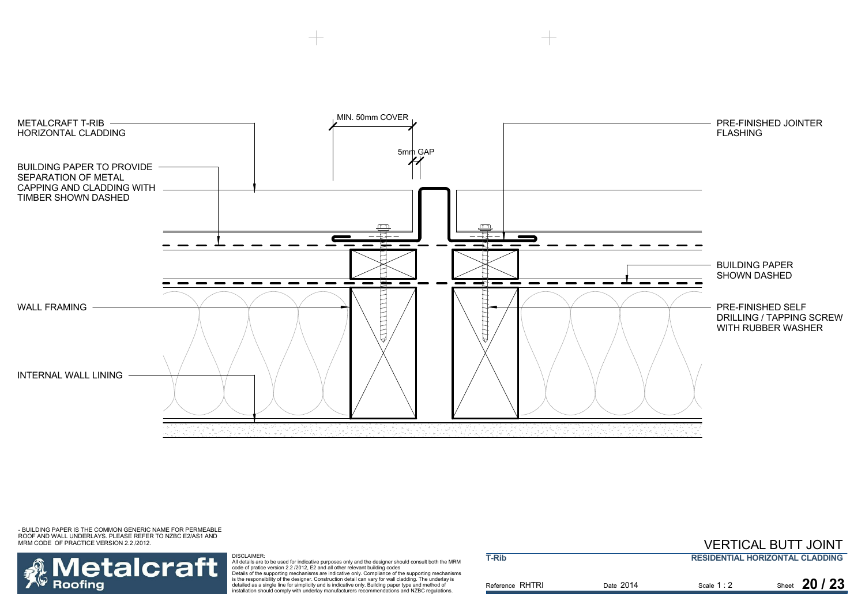



DISCLAIMER:

All details are to be used for indicative purposes only and the designer should consult both the MRM<br>code of pratice version 2.2 /2012, E2 and all other relevant building codes<br>Details of the supporting mechanisms are indi

is the responsibility of the designer. Construction detail can vary for wall cladding. The underlay is detailed as a single line for simplicity and is indicative only. Building paper type and method of installation should comply with underlay manufacturers recommendations and NZBC regulations.

|                 |                                        | <b>VERTICAL BUTT JOINT</b> |               |
|-----------------|----------------------------------------|----------------------------|---------------|
| T-Rib           | <b>RESIDENTIAL HORIZONTAL CLADDING</b> |                            |               |
| Reference RHTRI | Date 2014                              | Scale $1:2$                | Sheet $20/23$ |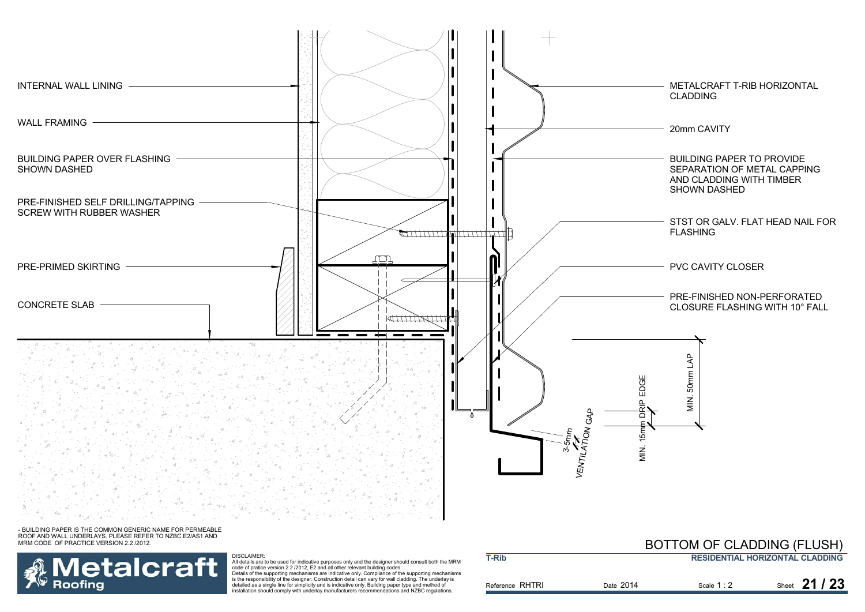

**T-Rib**

- BUILDING PAPER IS THE COMMON GENERIC NAME FOR PERMEABLE ROOF AND WALL UNDERLAYS. PLEASE REFER TO NZBC E2/AS1 AND MRM CODE OF PRACTICE VERSION 2.2 /2012.



DISCLAIMER:<br>All details are to be used for indicative purposes only and the designer should consult both the MRM<br>Code of pratice version 2.2 /2012, E2 and all other relevant building codes<br>Details of the supporting mechani detailed as a single line for simplicity and is indicative only. Building paper type and method of

installation should comply with underlay manufacturers recommendations and NZBC regulations.

### **RESIDENTIAL HORIZONTAL CLADDING**BOTTOM OF CLADDING (FLUSH)

| Reference RHTRI | Date 2014 | Scale $1:2$ | Sheet 21 / 23 |
|-----------------|-----------|-------------|---------------|
|                 |           |             |               |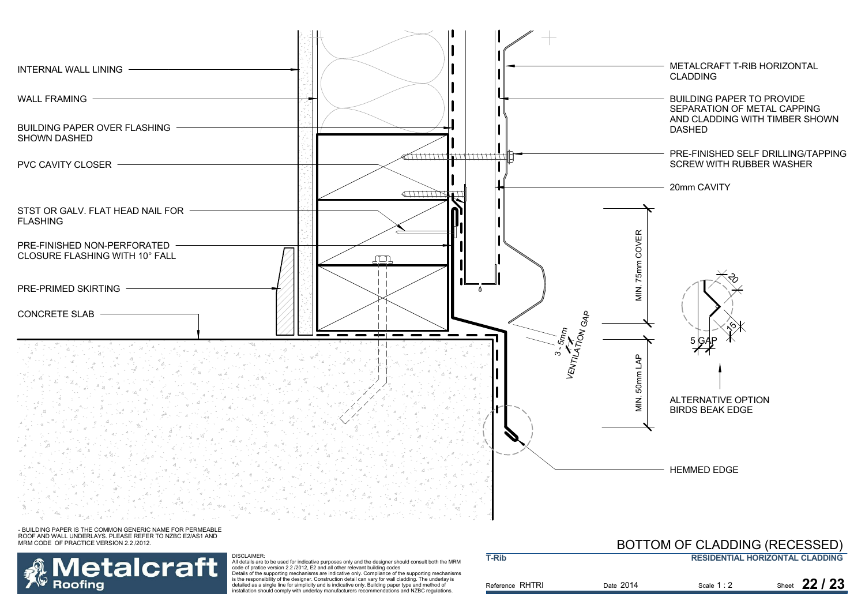



DISCLAIMER:<br>All details are to be used for indicative purposes only and the designer should consult both the MRM<br>Code of pratice version 2.2 /2012, E2 and all other relevant building codes<br>Details of the supporting mechani detailed as a single line for simplicity and is indicative only. Building paper type and method of installation should comply with underlay manufacturers recommendations and NZBC regulations.

| <b>T-Rib</b>    |           |           | <b>RESIDENTIAL HORIZONTAL CLADDING</b> |
|-----------------|-----------|-----------|----------------------------------------|
| Reference RHTRI | Date 2014 | Scale 1:2 | Sheet 22 / 23                          |

BOTTOM OF CLADDING (RECESSED)